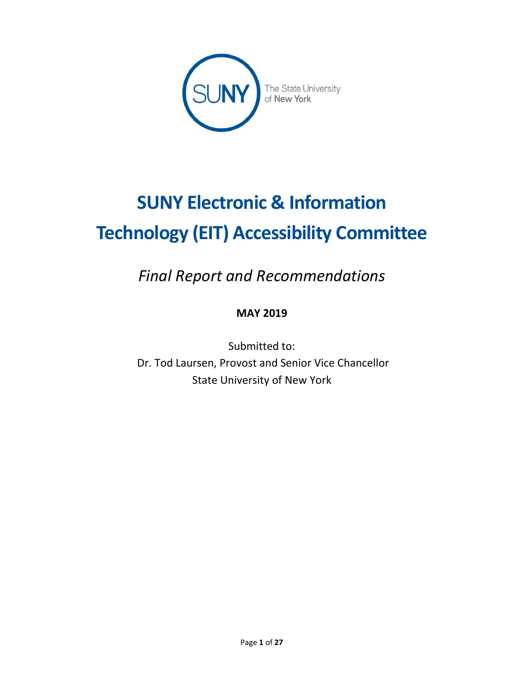

# **SUNY Electronic & Information Technology (EIT) Accessibility Committee**

*Final Report and Recommendations*

# **MAY 2019**

Submitted to: Dr. Tod Laursen, Provost and Senior Vice Chancellor State University of New York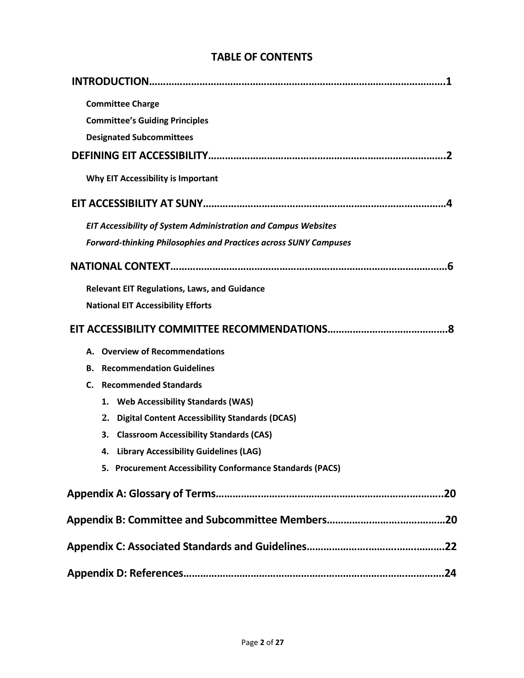| <b>Committee Charge</b>                                                 |
|-------------------------------------------------------------------------|
| <b>Committee's Guiding Principles</b>                                   |
| <b>Designated Subcommittees</b>                                         |
|                                                                         |
| Why EIT Accessibility is Important                                      |
|                                                                         |
| <b>EIT Accessibility of System Administration and Campus Websites</b>   |
| <b>Forward-thinking Philosophies and Practices across SUNY Campuses</b> |
| 6                                                                       |
| <b>Relevant EIT Regulations, Laws, and Guidance</b>                     |
| <b>National EIT Accessibility Efforts</b>                               |
|                                                                         |
| <b>Overview of Recommendations</b><br>А.                                |
| <b>Recommendation Guidelines</b><br>В.                                  |
| <b>Recommended Standards</b><br>C.                                      |
| 1. Web Accessibility Standards (WAS)                                    |
| 2. Digital Content Accessibility Standards (DCAS)                       |
| 3. Classroom Accessibility Standards (CAS)                              |
| <b>Library Accessibility Guidelines (LAG)</b><br>4.                     |
| 5. Procurement Accessibility Conformance Standards (PACS)               |
|                                                                         |
|                                                                         |
|                                                                         |
|                                                                         |

# **TABLE OF CONTENTS**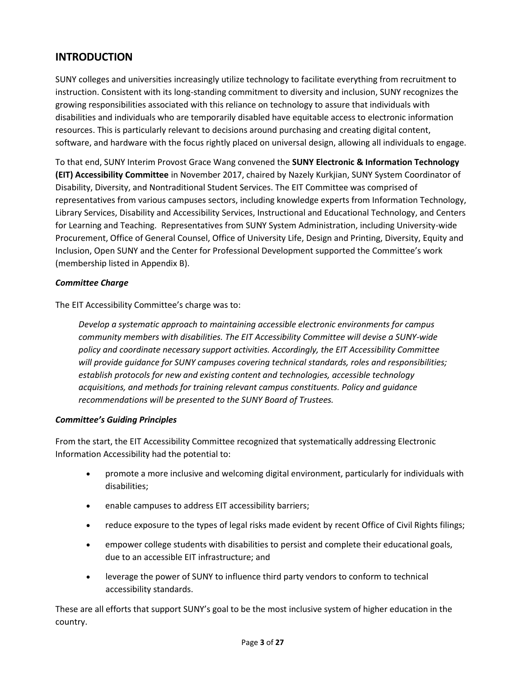# **INTRODUCTION**

SUNY colleges and universities increasingly utilize technology to facilitate everything from recruitment to instruction. Consistent with its long-standing commitment to diversity and inclusion, SUNY recognizes the growing responsibilities associated with this reliance on technology to assure that individuals with disabilities and individuals who are temporarily disabled have equitable access to electronic information resources. This is particularly relevant to decisions around purchasing and creating digital content, software, and hardware with the focus rightly placed on universal design, allowing all individuals to engage.

To that end, SUNY Interim Provost Grace Wang convened the **SUNY Electronic & Information Technology (EIT) Accessibility Committee** in November 2017, chaired by Nazely Kurkjian, SUNY System Coordinator of Disability, Diversity, and Nontraditional Student Services. The EIT Committee was comprised of representatives from various campuses sectors, including knowledge experts from Information Technology, Library Services, Disability and Accessibility Services, Instructional and Educational Technology, and Centers for Learning and Teaching. Representatives from SUNY System Administration, including University-wide Procurement, Office of General Counsel, Office of University Life, Design and Printing, Diversity, Equity and Inclusion, Open SUNY and the Center for Professional Development supported the Committee's work (membership listed in Appendix B).

#### *Committee Charge*

The EIT Accessibility Committee's charge was to:

*Develop a systematic approach to maintaining accessible electronic environments for campus community members with disabilities. The EIT Accessibility Committee will devise a SUNY-wide policy and coordinate necessary support activities. Accordingly, the EIT Accessibility Committee will provide guidance for SUNY campuses covering technical standards, roles and responsibilities; establish protocols for new and existing content and technologies, accessible technology acquisitions, and methods for training relevant campus constituents. Policy and guidance recommendations will be presented to the SUNY Board of Trustees.*

#### *Committee's Guiding Principles*

From the start, the EIT Accessibility Committee recognized that systematically addressing Electronic Information Accessibility had the potential to:

- promote a more inclusive and welcoming digital environment, particularly for individuals with disabilities;
- enable campuses to address EIT accessibility barriers;
- reduce exposure to the types of legal risks made evident by recent Office of Civil Rights filings;
- empower college students with disabilities to persist and complete their educational goals, due to an accessible EIT infrastructure; and
- leverage the power of SUNY to influence third party vendors to conform to technical accessibility standards.

These are all efforts that support SUNY's goal to be the most inclusive system of higher education in the country.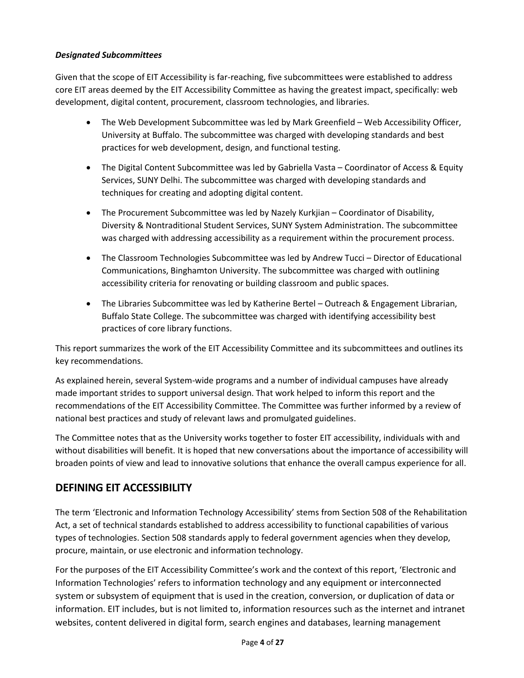## *Designated Subcommittees*

Given that the scope of EIT Accessibility is far-reaching, five subcommittees were established to address core EIT areas deemed by the EIT Accessibility Committee as having the greatest impact, specifically: web development, digital content, procurement, classroom technologies, and libraries.

- The Web Development Subcommittee was led by Mark Greenfield Web Accessibility Officer, University at Buffalo. The subcommittee was charged with developing standards and best practices for web development, design, and functional testing.
- The Digital Content Subcommittee was led by Gabriella Vasta Coordinator of Access & Equity Services, SUNY Delhi. The subcommittee was charged with developing standards and techniques for creating and adopting digital content.
- The Procurement Subcommittee was led by Nazely Kurkjian Coordinator of Disability, Diversity & Nontraditional Student Services, SUNY System Administration. The subcommittee was charged with addressing accessibility as a requirement within the procurement process.
- The Classroom Technologies Subcommittee was led by Andrew Tucci Director of Educational Communications, Binghamton University. The subcommittee was charged with outlining accessibility criteria for renovating or building classroom and public spaces.
- The Libraries Subcommittee was led by Katherine Bertel Outreach & Engagement Librarian, Buffalo State College. The subcommittee was charged with identifying accessibility best practices of core library functions.

This report summarizes the work of the EIT Accessibility Committee and its subcommittees and outlines its key recommendations.

As explained herein, several System-wide programs and a number of individual campuses have already made important strides to support universal design. That work helped to inform this report and the recommendations of the EIT Accessibility Committee. The Committee was further informed by a review of national best practices and study of relevant laws and promulgated guidelines.

The Committee notes that as the University works together to foster EIT accessibility, individuals with and without disabilities will benefit. It is hoped that new conversations about the importance of accessibility will broaden points of view and lead to innovative solutions that enhance the overall campus experience for all.

# **DEFINING EIT ACCESSIBILITY**

The term 'Electronic and Information Technology Accessibility' stems from Section 508 of the Rehabilitation Act, a set of technical standards established to address accessibility to functional capabilities of various types of technologies. Section 508 standards apply to federal government agencies when they develop, procure, maintain, or use electronic and information technology.

For the purposes of the EIT Accessibility Committee's work and the context of this report, 'Electronic and Information Technologies' refers to information technology and any equipment or interconnected system or subsystem of equipment that is used in the creation, conversion, or duplication of data or information. EIT includes, but is not limited to, information resources such as the internet and intranet websites, content delivered in digital form, search engines and databases, learning management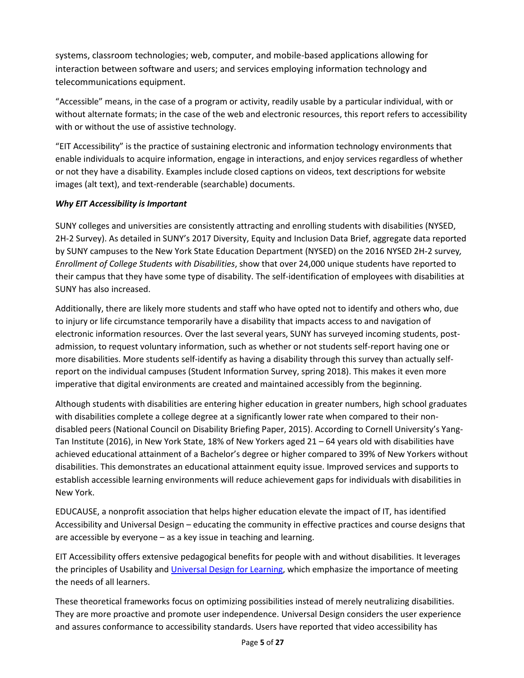systems, classroom technologies; web, computer, and mobile-based applications allowing for interaction between software and users; and services employing information technology and telecommunications equipment.

"Accessible" means, in the case of a program or activity, readily usable by a particular individual, with or without alternate formats; in the case of the web and electronic resources, this report refers to accessibility with or without the use of assistive technology.

"EIT Accessibility" is the practice of sustaining electronic and information technology environments that enable individuals to acquire information, engage in interactions, and enjoy services regardless of whether or not they have a disability. Examples include closed captions on videos, text descriptions for website images (alt text), and text-renderable (searchable) documents.

## *Why EIT Accessibility is Important*

SUNY colleges and universities are consistently attracting and enrolling students with disabilities (NYSED, 2H-2 Survey). As detailed in SUNY's 2017 Diversity, Equity and Inclusion Data Brief, aggregate data reported by SUNY campuses to the New York State Education Department (NYSED) on the 2016 NYSED 2H-2 survey*, Enrollment of College Students with Disabilities*, show that over 24,000 unique students have reported to their campus that they have some type of disability. The self-identification of employees with disabilities at SUNY has also increased.

Additionally, there are likely more students and staff who have opted not to identify and others who, due to injury or life circumstance temporarily have a disability that impacts access to and navigation of electronic information resources. Over the last several years, SUNY has surveyed incoming students, postadmission, to request voluntary information, such as whether or not students self-report having one or more disabilities. More students self-identify as having a disability through this survey than actually selfreport on the individual campuses (Student Information Survey, spring 2018). This makes it even more imperative that digital environments are created and maintained accessibly from the beginning.

Although students with disabilities are entering higher education in greater numbers, high school graduates with disabilities complete a college degree at a significantly lower rate when compared to their nondisabled peers (National Council on Disability Briefing Paper, 2015). According to Cornell University's Yang-Tan Institute (2016), in New York State, 18% of New Yorkers aged 21 – 64 years old with disabilities have achieved educational attainment of a Bachelor's degree or higher compared to 39% of New Yorkers without disabilities. This demonstrates an educational attainment equity issue. Improved services and supports to establish accessible learning environments will reduce achievement gaps for individuals with disabilities in New York.

EDUCAUSE, a nonprofit association that helps higher education elevate the impact of IT, has identified Accessibility and Universal Design – educating the community in effective practices and course designs that are accessible by everyone – as a key issue in teaching and learning.

EIT Accessibility offers extensive pedagogical benefits for people with and without disabilities. It leverages the principles of Usability and *Universal Design for Learning*, which emphasize the importance of meeting the needs of all learners.

These theoretical frameworks focus on optimizing possibilities instead of merely neutralizing disabilities. They are more proactive and promote user independence. Universal Design considers the user experience and assures conformance to accessibility standards. Users have reported that video accessibility has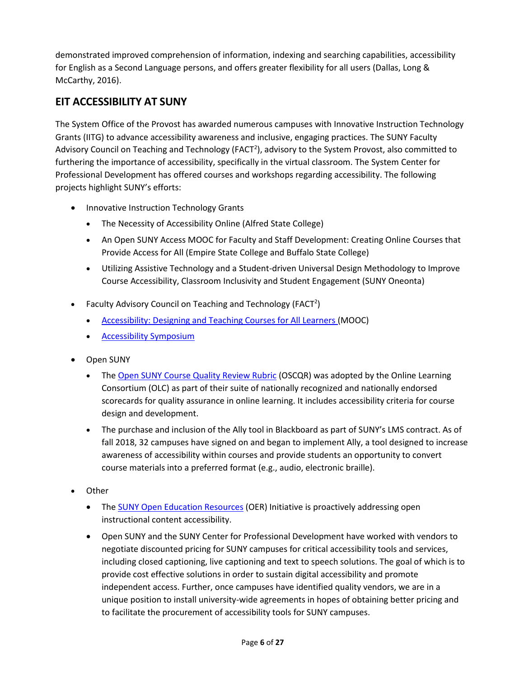demonstrated improved comprehension of information, indexing and searching capabilities, accessibility for English as a Second Language persons, and offers greater flexibility for all users (Dallas, Long & McCarthy, 2016).

# **EIT ACCESSIBILITY AT SUNY**

The System Office of the Provost has awarded numerous campuses with Innovative Instruction Technology Grants (IITG) to advance accessibility awareness and inclusive, engaging practices. The SUNY Faculty Advisory Council on Teaching and Technology (FACT<sup>2</sup>), advisory to the System Provost, also committed to furthering the importance of accessibility, specifically in the virtual classroom. The System Center for Professional Development has offered courses and workshops regarding accessibility. The following projects highlight SUNY's efforts:

- Innovative Instruction Technology Grants
	- The Necessity of Accessibility Online (Alfred State College)
	- An Open SUNY Access MOOC for Faculty and Staff Development: Creating Online Courses that Provide Access for All (Empire State College and Buffalo State College)
	- Utilizing Assistive Technology and a Student-driven Universal Design Methodology to Improve Course Accessibility, Classroom Inclusivity and Student Engagement (SUNY Oneonta)
- Faculty Advisory Council on Teaching and Technology (FACT<sup>2</sup>)
	- [Accessibility: Designing and Teaching Courses for All Learners](https://www.canvas.net/courses/5302/enrollment/new) (MOOC)
	- [Accessibility Symposium](https://commons.suny.edu/fact2/fact2-accessibility-symposium-recordings/)
- Open SUNY
	- The [Open SUNY Course Quality Review Rubric](http://oscqr.org/) (OSCQR) was adopted by the Online Learning Consortium (OLC) as part of their suite of nationally recognized and nationally endorsed scorecards for quality assurance in online learning. It includes accessibility criteria for course design and development.
	- The purchase and inclusion of the Ally tool in Blackboard as part of SUNY's LMS contract. As of fall 2018, 32 campuses have signed on and began to implement Ally, a tool designed to increase awareness of accessibility within courses and provide students an opportunity to convert course materials into a preferred format (e.g., audio, electronic braille).
- Other
	- The **SUNY Open Education Resources** (OER) Initiative is proactively addressing open instructional content accessibility.
	- Open SUNY and the SUNY Center for Professional Development have worked with vendors to negotiate discounted pricing for SUNY campuses for critical accessibility tools and services, including closed captioning, live captioning and text to speech solutions. The goal of which is to provide cost effective solutions in order to sustain digital accessibility and promote independent access. Further, once campuses have identified quality vendors, we are in a unique position to install university-wide agreements in hopes of obtaining better pricing and to facilitate the procurement of accessibility tools for SUNY campuses.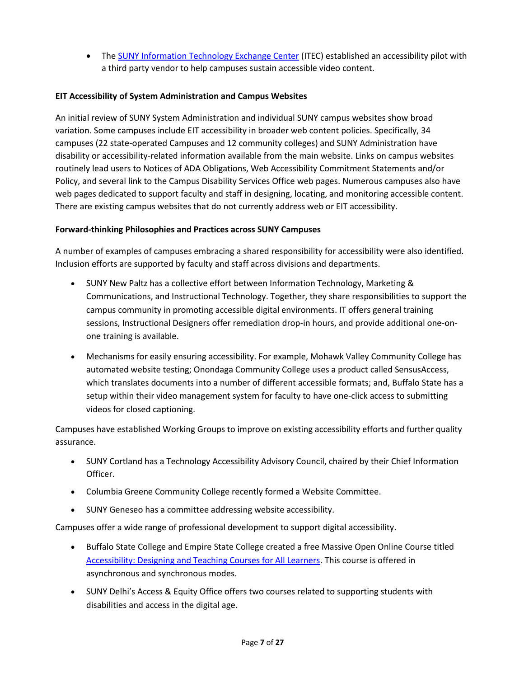• The [SUNY Information Technology Exchange Center](http://www.itec.suny.edu/) (ITEC) established an accessibility pilot with a third party vendor to help campuses sustain accessible video content.

## **EIT Accessibility of System Administration and Campus Websites**

An initial review of SUNY System Administration and individual SUNY campus websites show broad variation. Some campuses include EIT accessibility in broader web content policies. Specifically, 34 campuses (22 state-operated Campuses and 12 community colleges) and SUNY Administration have disability or accessibility-related information available from the main website. Links on campus websites routinely lead users to Notices of ADA Obligations, Web Accessibility Commitment Statements and/or Policy, and several link to the Campus Disability Services Office web pages. Numerous campuses also have web pages dedicated to support faculty and staff in designing, locating, and monitoring accessible content. There are existing campus websites that do not currently address web or EIT accessibility.

## **Forward-thinking Philosophies and Practices across SUNY Campuses**

A number of examples of campuses embracing a shared responsibility for accessibility were also identified. Inclusion efforts are supported by faculty and staff across divisions and departments.

- SUNY New Paltz has a collective effort between Information Technology, Marketing & Communications, and Instructional Technology. Together, they share responsibilities to support the campus community in promoting accessible digital environments. IT offers general training sessions, Instructional Designers offer remediation drop-in hours, and provide additional one-onone training is available.
- Mechanisms for easily ensuring accessibility. For example, Mohawk Valley Community College has automated website testing; Onondaga Community College uses a product called SensusAccess, which translates documents into a number of different accessible formats; and, Buffalo State has a setup within their video management system for faculty to have one-click access to submitting videos for closed captioning.

Campuses have established Working Groups to improve on existing accessibility efforts and further quality assurance.

- SUNY Cortland has a Technology Accessibility Advisory Council, chaired by their Chief Information Officer.
- Columbia Greene Community College recently formed a Website Committee.
- SUNY Geneseo has a committee addressing website accessibility.

Campuses offer a wide range of professional development to support digital accessibility.

- Buffalo State College and Empire State College created a free Massive Open Online Course titled [Accessibility: Designing and Teaching Courses for All Learners.](https://www.canvas.net/courses/5302/enrollment/new) This course is offered in asynchronous and synchronous modes.
- SUNY Delhi's Access & Equity Office offers two courses related to supporting students with disabilities and access in the digital age.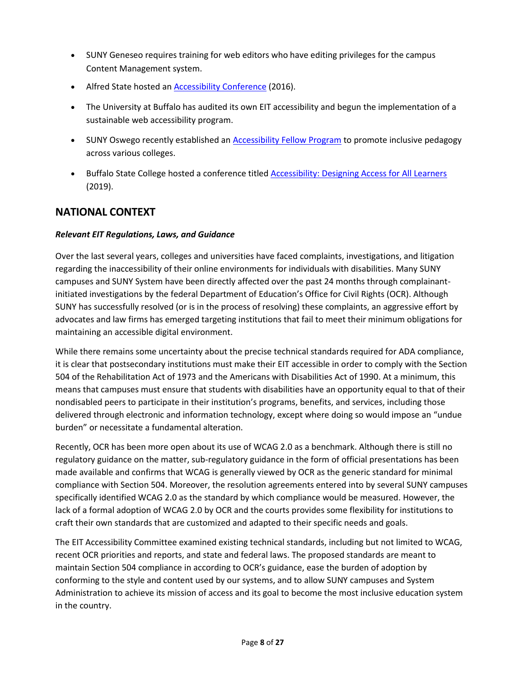- SUNY Geneseo requires training for web editors who have editing privileges for the campus Content Management system.
- Alfred State hosted an [Accessibility Conference](http://www.alfredstate.edu/news/2016-01-20/more-70-attend-accessibility-conference-alfred-state) (2016).
- The University at Buffalo has audited its own EIT accessibility and begun the implementation of a sustainable web accessibility program.
- SUNY Oswego recently established an **Accessibility Fellow Program** to promote inclusive pedagogy across various colleges.
- Buffalo State College hosted a conference titled [Accessibility: Designing Access for All Learners](https://digitalcommons.buffalostate.edu/access/2018/) (2019).

# **NATIONAL CONTEXT**

## *Relevant EIT Regulations, Laws, and Guidance*

Over the last several years, colleges and universities have faced complaints, investigations, and litigation regarding the inaccessibility of their online environments for individuals with disabilities. Many SUNY campuses and SUNY System have been directly affected over the past 24 months through complainantinitiated investigations by the federal Department of Education's Office for Civil Rights (OCR). Although SUNY has successfully resolved (or is in the process of resolving) these complaints, an aggressive effort by advocates and law firms has emerged targeting institutions that fail to meet their minimum obligations for maintaining an accessible digital environment.

While there remains some uncertainty about the precise technical standards required for ADA compliance, it is clear that postsecondary institutions must make their EIT accessible in order to comply with the Section 504 of the Rehabilitation Act of 1973 and the Americans with Disabilities Act of 1990. At a minimum, this means that campuses must ensure that students with disabilities have an opportunity equal to that of their nondisabled peers to participate in their institution's programs, benefits, and services, including those delivered through electronic and information technology, except where doing so would impose an "undue burden" or necessitate a fundamental alteration.

Recently, OCR has been more open about its use of WCAG 2.0 as a benchmark. Although there is still no regulatory guidance on the matter, sub-regulatory guidance in the form of official presentations has been made available and confirms that WCAG is generally viewed by OCR as the generic standard for minimal compliance with Section 504. Moreover, the resolution agreements entered into by several SUNY campuses specifically identified WCAG 2.0 as the standard by which compliance would be measured. However, the lack of a formal adoption of WCAG 2.0 by OCR and the courts provides some flexibility for institutions to craft their own standards that are customized and adapted to their specific needs and goals.

The EIT Accessibility Committee examined existing technical standards, including but not limited to WCAG, recent OCR priorities and reports, and state and federal laws. The proposed standards are meant to maintain Section 504 compliance in according to OCR's guidance, ease the burden of adoption by conforming to the style and content used by our systems, and to allow SUNY campuses and System Administration to achieve its mission of access and its goal to become the most inclusive education system in the country.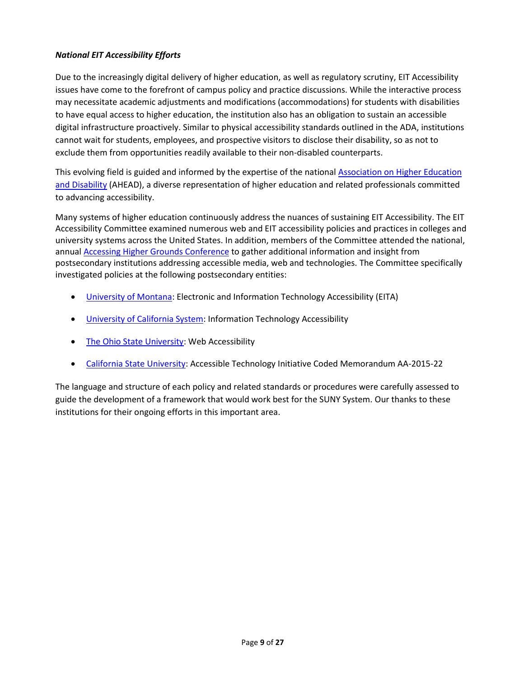#### *National EIT Accessibility Efforts*

Due to the increasingly digital delivery of higher education, as well as regulatory scrutiny, EIT Accessibility issues have come to the forefront of campus policy and practice discussions. While the interactive process may necessitate academic adjustments and modifications (accommodations) for students with disabilities to have equal access to higher education, the institution also has an obligation to sustain an accessible digital infrastructure proactively. Similar to physical accessibility standards outlined in the ADA, institutions cannot wait for students, employees, and prospective visitors to disclose their disability, so as not to exclude them from opportunities readily available to their non-disabled counterparts.

This evolving field is guided and informed by the expertise of the national Association on Higher Education [and Disability](https://www.ahead.org/home) (AHEAD), a diverse representation of higher education and related professionals committed to advancing accessibility.

Many systems of higher education continuously address the nuances of sustaining EIT Accessibility. The EIT Accessibility Committee examined numerous web and EIT accessibility policies and practices in colleges and university systems across the United States. In addition, members of the Committee attended the national, annua[l Accessing Higher Grounds Conference](http://accessinghigherground.org/) to gather additional information and insight from postsecondary institutions addressing accessible media, web and technologies. The Committee specifically investigated policies at the following postsecondary entities:

- [University of Montana:](https://www.umt.edu/accessibility/implementation/policy/default.php) Electronic and Information Technology Accessibility (EITA)
- **[University of California System:](https://policy.ucop.edu/doc/7000611/IMT-1300) Information Technology Accessibility**
- [The Ohio State University:](https://ada.osu.edu/resources/osu-web-accessibility-policy.pdf) Web Accessibility
- [California State University:](http://teachingcommons.cdl.edu/access/policy/documents/AA-2015-22.pdf) Accessible Technology Initiative Coded Memorandum AA-2015-22

The language and structure of each policy and related standards or procedures were carefully assessed to guide the development of a framework that would work best for the SUNY System. Our thanks to these institutions for their ongoing efforts in this important area.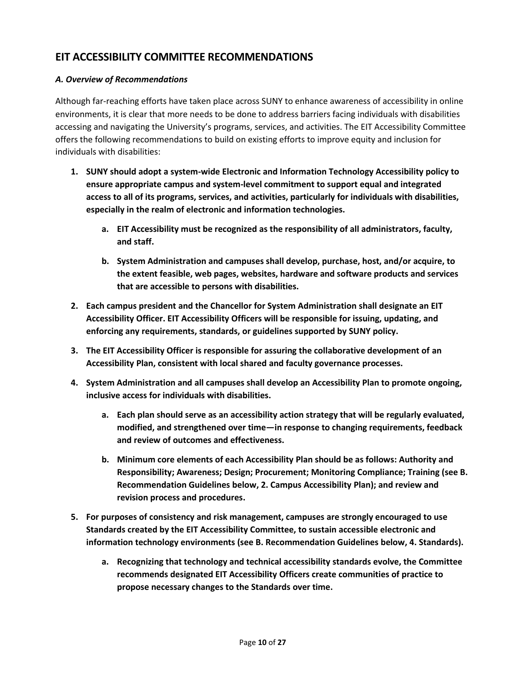## **EIT ACCESSIBILITY COMMITTEE RECOMMENDATIONS**

## *A. Overview of Recommendations*

Although far-reaching efforts have taken place across SUNY to enhance awareness of accessibility in online environments, it is clear that more needs to be done to address barriers facing individuals with disabilities accessing and navigating the University's programs, services, and activities. The EIT Accessibility Committee offers the following recommendations to build on existing efforts to improve equity and inclusion for individuals with disabilities:

- **1. SUNY should adopt a system-wide Electronic and Information Technology Accessibility policy to ensure appropriate campus and system-level commitment to support equal and integrated access to all of its programs, services, and activities, particularly for individuals with disabilities, especially in the realm of electronic and information technologies.**
	- **a. EIT Accessibility must be recognized as the responsibility of all administrators, faculty, and staff.**
	- **b. System Administration and campuses shall develop, purchase, host, and/or acquire, to the extent feasible, web pages, websites, hardware and software products and services that are accessible to persons with disabilities.**
- **2. Each campus president and the Chancellor for System Administration shall designate an EIT Accessibility Officer. EIT Accessibility Officers will be responsible for issuing, updating, and enforcing any requirements, standards, or guidelines supported by SUNY policy.**
- **3. The EIT Accessibility Officer is responsible for assuring the collaborative development of an Accessibility Plan, consistent with local shared and faculty governance processes.**
- **4. System Administration and all campuses shall develop an Accessibility Plan to promote ongoing, inclusive access for individuals with disabilities.**
	- **a. Each plan should serve as an accessibility action strategy that will be regularly evaluated, modified, and strengthened over time—in response to changing requirements, feedback and review of outcomes and effectiveness.**
	- **b. Minimum core elements of each Accessibility Plan should be as follows: Authority and Responsibility; Awareness; Design; Procurement; Monitoring Compliance; Training (see B. Recommendation Guidelines below, 2. Campus Accessibility Plan); and review and revision process and procedures.**
- **5. For purposes of consistency and risk management, campuses are strongly encouraged to use Standards created by the EIT Accessibility Committee, to sustain accessible electronic and information technology environments (see B. Recommendation Guidelines below, 4. Standards).**
	- **a. Recognizing that technology and technical accessibility standards evolve, the Committee recommends designated EIT Accessibility Officers create communities of practice to propose necessary changes to the Standards over time.**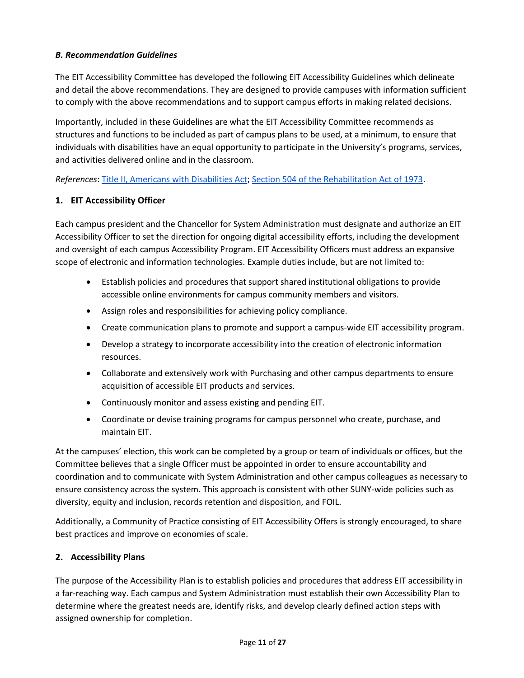## *B. Recommendation Guidelines*

The EIT Accessibility Committee has developed the following EIT Accessibility Guidelines which delineate and detail the above recommendations. They are designed to provide campuses with information sufficient to comply with the above recommendations and to support campus efforts in making related decisions.

Importantly, included in these Guidelines are what the EIT Accessibility Committee recommends as structures and functions to be included as part of campus plans to be used, at a minimum, to ensure that individuals with disabilities have an equal opportunity to participate in the University's programs, services, and activities delivered online and in the classroom.

*References*: [Title II, Americans with Disabilities Act;](https://www.ada.gov/regs2010/titleII_2010/titleII_2010_regulations.htm) [Section 504 of the Rehabilitation Act of 1973.](https://www.dol.gov/oasam/regs/statutes/sec504.htm)

## **1. EIT Accessibility Officer**

Each campus president and the Chancellor for System Administration must designate and authorize an EIT Accessibility Officer to set the direction for ongoing digital accessibility efforts, including the development and oversight of each campus Accessibility Program. EIT Accessibility Officers must address an expansive scope of electronic and information technologies. Example duties include, but are not limited to:

- Establish policies and procedures that support shared institutional obligations to provide accessible online environments for campus community members and visitors.
- Assign roles and responsibilities for achieving policy compliance.
- Create communication plans to promote and support a campus-wide EIT accessibility program.
- Develop a strategy to incorporate accessibility into the creation of electronic information resources.
- Collaborate and extensively work with Purchasing and other campus departments to ensure acquisition of accessible EIT products and services.
- Continuously monitor and assess existing and pending EIT.
- Coordinate or devise training programs for campus personnel who create, purchase, and maintain EIT.

At the campuses' election, this work can be completed by a group or team of individuals or offices, but the Committee believes that a single Officer must be appointed in order to ensure accountability and coordination and to communicate with System Administration and other campus colleagues as necessary to ensure consistency across the system. This approach is consistent with other SUNY-wide policies such as diversity, equity and inclusion, records retention and disposition, and FOIL.

Additionally, a Community of Practice consisting of EIT Accessibility Offers is strongly encouraged, to share best practices and improve on economies of scale.

## **2. Accessibility Plans**

The purpose of the Accessibility Plan is to establish policies and procedures that address EIT accessibility in a far-reaching way. Each campus and System Administration must establish their own Accessibility Plan to determine where the greatest needs are, identify risks, and develop clearly defined action steps with assigned ownership for completion.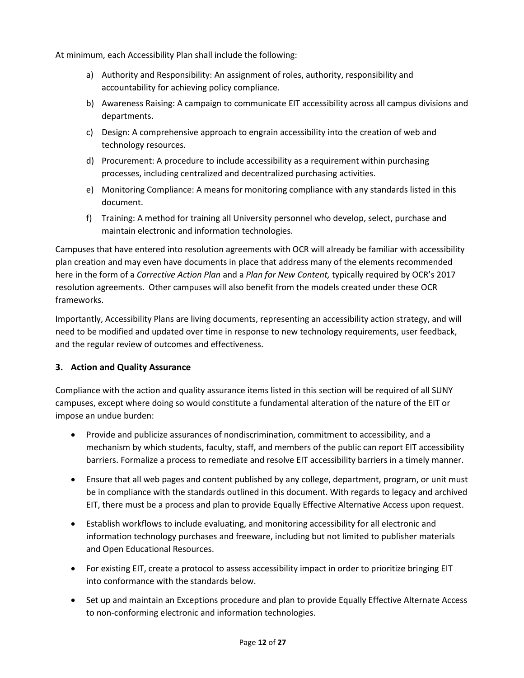At minimum, each Accessibility Plan shall include the following:

- a) Authority and Responsibility: An assignment of roles, authority, responsibility and accountability for achieving policy compliance.
- b) Awareness Raising: A campaign to communicate EIT accessibility across all campus divisions and departments.
- c) Design: A comprehensive approach to engrain accessibility into the creation of web and technology resources.
- d) Procurement: A procedure to include accessibility as a requirement within purchasing processes, including centralized and decentralized purchasing activities.
- e) Monitoring Compliance: A means for monitoring compliance with any standards listed in this document.
- f) Training: A method for training all University personnel who develop, select, purchase and maintain electronic and information technologies.

Campuses that have entered into resolution agreements with OCR will already be familiar with accessibility plan creation and may even have documents in place that address many of the elements recommended here in the form of a *Corrective Action Plan* and a *Plan for New Content,* typically required by OCR's 2017 resolution agreements. Other campuses will also benefit from the models created under these OCR frameworks.

Importantly, Accessibility Plans are living documents, representing an accessibility action strategy, and will need to be modified and updated over time in response to new technology requirements, user feedback, and the regular review of outcomes and effectiveness.

## **3. Action and Quality Assurance**

Compliance with the action and quality assurance items listed in this section will be required of all SUNY campuses, except where doing so would constitute a fundamental alteration of the nature of the EIT or impose an undue burden:

- Provide and publicize assurances of nondiscrimination, commitment to accessibility, and a mechanism by which students, faculty, staff, and members of the public can report EIT accessibility barriers. Formalize a process to remediate and resolve EIT accessibility barriers in a timely manner.
- Ensure that all web pages and content published by any college, department, program, or unit must be in compliance with the standards outlined in this document. With regards to legacy and archived EIT, there must be a process and plan to provide Equally Effective Alternative Access upon request.
- Establish workflows to include evaluating, and monitoring accessibility for all electronic and information technology purchases and freeware, including but not limited to publisher materials and Open Educational Resources.
- For existing EIT, create a protocol to assess accessibility impact in order to prioritize bringing EIT into conformance with the standards below.
- Set up and maintain an Exceptions procedure and plan to provide Equally Effective Alternate Access to non-conforming electronic and information technologies.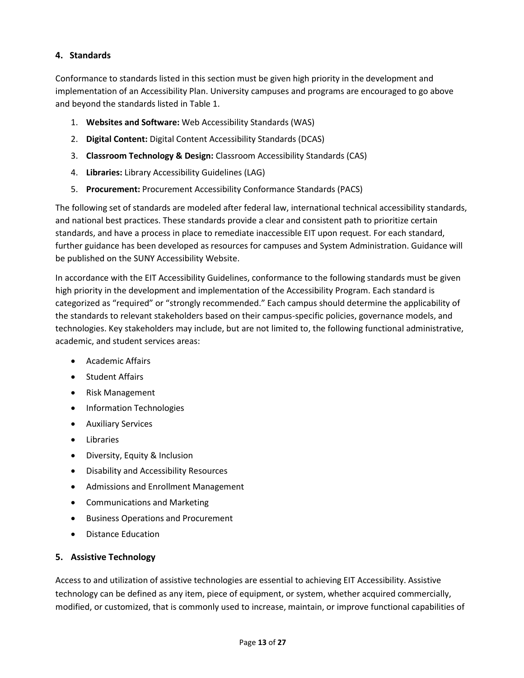## **4. Standards**

Conformance to standards listed in this section must be given high priority in the development and implementation of an Accessibility Plan. University campuses and programs are encouraged to go above and beyond the standards listed in Table 1.

- 1. **Websites and Software:** Web Accessibility Standards (WAS)
- 2. **Digital Content:** Digital Content Accessibility Standards (DCAS)
- 3. **Classroom Technology & Design:** Classroom Accessibility Standards (CAS)
- 4. **Libraries:** Library Accessibility Guidelines (LAG)
- 5. **Procurement:** Procurement Accessibility Conformance Standards (PACS)

The following set of standards are modeled after federal law, international technical accessibility standards, and national best practices. These standards provide a clear and consistent path to prioritize certain standards, and have a process in place to remediate inaccessible EIT upon request. For each standard, further guidance has been developed as resources for campuses and System Administration. Guidance will be published on the SUNY Accessibility Website.

In accordance with the EIT Accessibility Guidelines, conformance to the following standards must be given high priority in the development and implementation of the Accessibility Program. Each standard is categorized as "required" or "strongly recommended." Each campus should determine the applicability of the standards to relevant stakeholders based on their campus-specific policies, governance models, and technologies. Key stakeholders may include, but are not limited to, the following functional administrative, academic, and student services areas:

- Academic Affairs
- Student Affairs
- Risk Management
- Information Technologies
- Auxiliary Services
- Libraries
- Diversity, Equity & Inclusion
- Disability and Accessibility Resources
- Admissions and Enrollment Management
- Communications and Marketing
- Business Operations and Procurement
- Distance Education

#### **5. Assistive Technology**

Access to and utilization of assistive technologies are essential to achieving EIT Accessibility. Assistive technology can be defined as any item, piece of equipment, or system, whether acquired commercially, modified, or customized, that is commonly used to increase, maintain, or improve functional capabilities of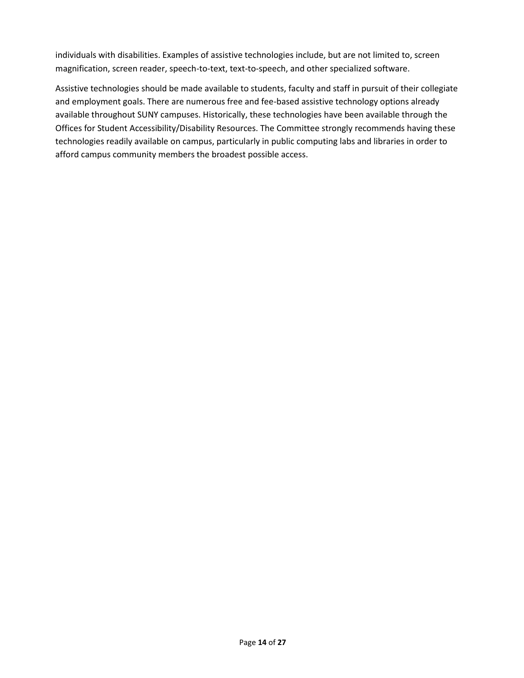individuals with disabilities. Examples of assistive technologies include, but are not limited to, screen magnification, screen reader, speech-to-text, text-to-speech, and other specialized software.

Assistive technologies should be made available to students, faculty and staff in pursuit of their collegiate and employment goals. There are numerous free and fee-based assistive technology options already available throughout SUNY campuses. Historically, these technologies have been available through the Offices for Student Accessibility/Disability Resources. The Committee strongly recommends having these technologies readily available on campus, particularly in public computing labs and libraries in order to afford campus community members the broadest possible access.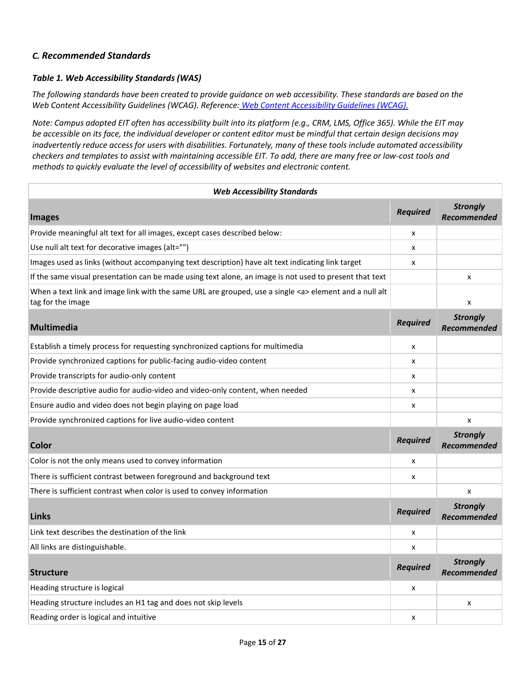## *C. Recommended Standards*

#### *Table 1. Web Accessibility Standards (WAS)*

*The following standards have been created to provide guidance on web accessibility. These standards are based on the Web Content Accessibility Guidelines (WCAG). Reference: [Web Content Accessibility Guidelines \(WCAG\).](https://www.w3.org/TR/WCAG20/)*

*Note: Campus adopted EIT often has accessibility built into its platform (e.g., CRM, LMS, Office 365). While the EIT may be accessible on its face, the individual developer or content editor must be mindful that certain design decisions may inadvertently reduce access for users with disabilities. Fortunately, many of these tools include automated accessibility checkers and templates to assist with maintaining accessible EIT. To add, there are many free or low-cost tools and methods to quickly evaluate the level of accessibility of websites and electronic content.* 

| <b>Web Accessibility Standards</b>                                                                                               |                 |                                       |
|----------------------------------------------------------------------------------------------------------------------------------|-----------------|---------------------------------------|
| <b>Images</b>                                                                                                                    | <b>Required</b> | <b>Strongly</b><br>Recommended        |
| Provide meaningful alt text for all images, except cases described below:                                                        | x               |                                       |
| Use null alt text for decorative images (alt="")                                                                                 | x               |                                       |
| Images used as links (without accompanying text description) have alt text indicating link target                                | x               |                                       |
| If the same visual presentation can be made using text alone, an image is not used to present that text                          |                 | X                                     |
| When a text link and image link with the same URL are grouped, use a single <a> element and a null alt<br/>tag for the image</a> |                 | x                                     |
| <b>Multimedia</b>                                                                                                                | <b>Required</b> | <b>Strongly</b><br>Recommended        |
| Establish a timely process for requesting synchronized captions for multimedia                                                   | x               |                                       |
| Provide synchronized captions for public-facing audio-video content                                                              | x               |                                       |
| Provide transcripts for audio-only content                                                                                       | x               |                                       |
| Provide descriptive audio for audio-video and video-only content, when needed                                                    | x               |                                       |
| Ensure audio and video does not begin playing on page load                                                                       | x               |                                       |
| Provide synchronized captions for live audio-video content                                                                       |                 | X                                     |
| <b>Color</b>                                                                                                                     | <b>Required</b> | <b>Strongly</b><br>Recommended        |
| Color is not the only means used to convey information                                                                           | x               |                                       |
| There is sufficient contrast between foreground and background text                                                              | x               |                                       |
| There is sufficient contrast when color is used to convey information                                                            |                 | x                                     |
| <b>Links</b>                                                                                                                     | <b>Required</b> | <b>Strongly</b><br>Recommended        |
| Link text describes the destination of the link                                                                                  | x               |                                       |
| All links are distinguishable.                                                                                                   | x               |                                       |
| <b>Structure</b>                                                                                                                 | <b>Required</b> | <b>Strongly</b><br><b>Recommended</b> |
| Heading structure is logical                                                                                                     | x               |                                       |
| Heading structure includes an H1 tag and does not skip levels                                                                    |                 | X                                     |
| Reading order is logical and intuitive                                                                                           | x               |                                       |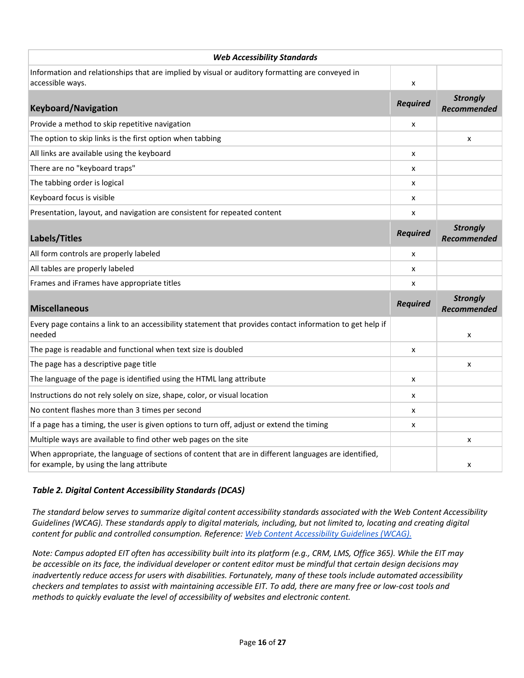| <b>Web Accessibility Standards</b>                                                                                                                |                 |                                       |
|---------------------------------------------------------------------------------------------------------------------------------------------------|-----------------|---------------------------------------|
| Information and relationships that are implied by visual or auditory formatting are conveyed in<br>accessible ways.                               | x               |                                       |
| <b>Keyboard/Navigation</b>                                                                                                                        | <b>Required</b> | <b>Strongly</b><br><b>Recommended</b> |
| Provide a method to skip repetitive navigation                                                                                                    | x               |                                       |
| The option to skip links is the first option when tabbing                                                                                         |                 | X                                     |
| All links are available using the keyboard                                                                                                        | x               |                                       |
| There are no "keyboard traps"                                                                                                                     | x               |                                       |
| The tabbing order is logical                                                                                                                      | x               |                                       |
| Keyboard focus is visible                                                                                                                         | x               |                                       |
| Presentation, layout, and navigation are consistent for repeated content                                                                          | x               |                                       |
| Labels/Titles                                                                                                                                     | <b>Required</b> | <b>Strongly</b><br><b>Recommended</b> |
| All form controls are properly labeled                                                                                                            | x               |                                       |
| All tables are properly labeled                                                                                                                   | x               |                                       |
| Frames and iFrames have appropriate titles                                                                                                        | x               |                                       |
| <b>Miscellaneous</b>                                                                                                                              | <b>Required</b> | <b>Strongly</b><br><b>Recommended</b> |
| Every page contains a link to an accessibility statement that provides contact information to get help if<br>needed                               |                 | x                                     |
| The page is readable and functional when text size is doubled                                                                                     | x               |                                       |
| The page has a descriptive page title                                                                                                             |                 | x                                     |
| The language of the page is identified using the HTML lang attribute                                                                              | x               |                                       |
| Instructions do not rely solely on size, shape, color, or visual location                                                                         | x               |                                       |
| No content flashes more than 3 times per second                                                                                                   | x               |                                       |
| If a page has a timing, the user is given options to turn off, adjust or extend the timing                                                        | x               |                                       |
| Multiple ways are available to find other web pages on the site                                                                                   |                 | x                                     |
| When appropriate, the language of sections of content that are in different languages are identified,<br>for example, by using the lang attribute |                 | x                                     |

## *Table 2. Digital Content Accessibility Standards (DCAS)*

*The standard below serves to summarize digital content accessibility standards associated with the Web Content Accessibility Guidelines (WCAG). These standards apply to digital materials, including, but not limited to, locating and creating digital content for public and controlled consumption. Reference: [Web Content Accessibility Guidelines \(WCAG\).](https://www.w3.org/TR/WCAG20/)*

*Note: Campus adopted EIT often has accessibility built into its platform (e.g., CRM, LMS, Office 365). While the EIT may be accessible on its face, the individual developer or content editor must be mindful that certain design decisions may inadvertently reduce access for users with disabilities. Fortunately, many of these tools include automated accessibility checkers and templates to assist with maintaining accessible EIT. To add, there are many free or low-cost tools and methods to quickly evaluate the level of accessibility of websites and electronic content.*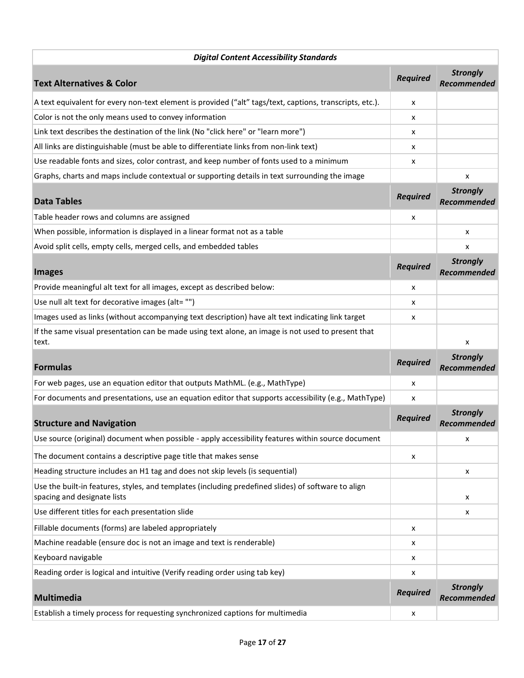| <b>Digital Content Accessibility Standards</b>                                                                                     |                 |                                       |
|------------------------------------------------------------------------------------------------------------------------------------|-----------------|---------------------------------------|
| <b>Text Alternatives &amp; Color</b>                                                                                               | <b>Required</b> | <b>Strongly</b><br><b>Recommended</b> |
| A text equivalent for every non-text element is provided ("alt" tags/text, captions, transcripts, etc.).                           | x               |                                       |
| Color is not the only means used to convey information                                                                             | x               |                                       |
| Link text describes the destination of the link (No "click here" or "learn more")                                                  | x               |                                       |
| All links are distinguishable (must be able to differentiate links from non-link text)                                             | x               |                                       |
| Use readable fonts and sizes, color contrast, and keep number of fonts used to a minimum                                           | x               |                                       |
| Graphs, charts and maps include contextual or supporting details in text surrounding the image                                     |                 | x                                     |
| <b>Data Tables</b>                                                                                                                 | <b>Required</b> | <b>Strongly</b><br><b>Recommended</b> |
| Table header rows and columns are assigned                                                                                         | x               |                                       |
| When possible, information is displayed in a linear format not as a table                                                          |                 | x                                     |
| Avoid split cells, empty cells, merged cells, and embedded tables                                                                  |                 | x                                     |
| <b>Images</b>                                                                                                                      | <b>Required</b> | <b>Strongly</b><br><b>Recommended</b> |
| Provide meaningful alt text for all images, except as described below:                                                             | x               |                                       |
| Use null alt text for decorative images (alt= "")                                                                                  | x               |                                       |
| Images used as links (without accompanying text description) have alt text indicating link target                                  | x               |                                       |
| If the same visual presentation can be made using text alone, an image is not used to present that<br>text.                        |                 | x                                     |
| <b>Formulas</b>                                                                                                                    | <b>Required</b> | <b>Strongly</b><br><b>Recommended</b> |
| For web pages, use an equation editor that outputs MathML. (e.g., MathType)                                                        | x               |                                       |
| For documents and presentations, use an equation editor that supports accessibility (e.g., MathType)                               | x               |                                       |
| <b>Structure and Navigation</b>                                                                                                    | <b>Required</b> | <b>Strongly</b><br><b>Recommended</b> |
| Use source (original) document when possible - apply accessibility features within source document                                 |                 | X                                     |
| The document contains a descriptive page title that makes sense                                                                    | x               |                                       |
| Heading structure includes an H1 tag and does not skip levels (is sequential)                                                      |                 | x                                     |
| Use the built-in features, styles, and templates (including predefined slides) of software to align<br>spacing and designate lists |                 | x                                     |
| Use different titles for each presentation slide                                                                                   |                 | х                                     |
| Fillable documents (forms) are labeled appropriately                                                                               | x               |                                       |
| Machine readable (ensure doc is not an image and text is renderable)                                                               | x               |                                       |
| Keyboard navigable                                                                                                                 | x               |                                       |
| Reading order is logical and intuitive (Verify reading order using tab key)                                                        | x               |                                       |
| <b>Multimedia</b>                                                                                                                  | <b>Required</b> | <b>Strongly</b><br>Recommended        |
| Establish a timely process for requesting synchronized captions for multimedia                                                     | x               |                                       |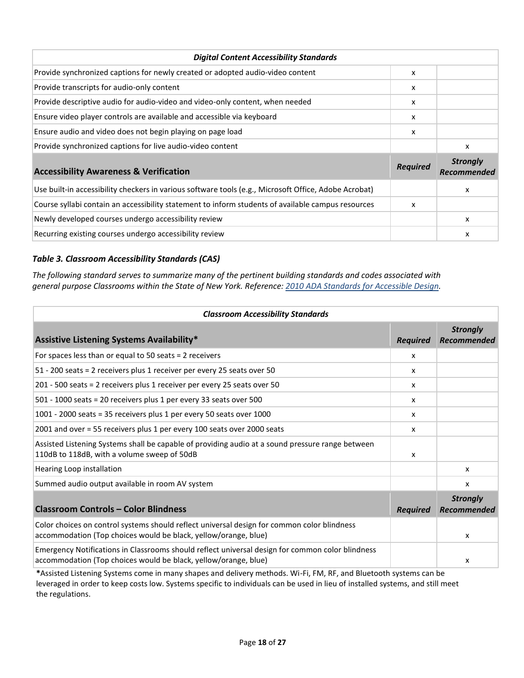| <b>Digital Content Accessibility Standards</b>                                                        |                 |                                |
|-------------------------------------------------------------------------------------------------------|-----------------|--------------------------------|
| Provide synchronized captions for newly created or adopted audio-video content                        | x               |                                |
| Provide transcripts for audio-only content                                                            | x               |                                |
| Provide descriptive audio for audio-video and video-only content, when needed                         | x               |                                |
| Ensure video player controls are available and accessible via keyboard                                | x               |                                |
| Ensure audio and video does not begin playing on page load                                            | x               |                                |
| Provide synchronized captions for live audio-video content                                            |                 | x                              |
| <b>Accessibility Awareness &amp; Verification</b>                                                     | <b>Required</b> | <b>Strongly</b><br>Recommended |
| Use built-in accessibility checkers in various software tools (e.g., Microsoft Office, Adobe Acrobat) |                 | х                              |
| Course syllabi contain an accessibility statement to inform students of available campus resources    | x               |                                |
| Newly developed courses undergo accessibility review                                                  |                 | x                              |
| Recurring existing courses undergo accessibility review                                               |                 | x                              |

## *Table 3. Classroom Accessibility Standards (CAS)*

*The following standard serves to summarize many of the pertinent building standards and codes associated with general purpose Classrooms within the State of New York. Reference: 2010 ADA [Standards for Accessible Design.](https://www.ada.gov/regs2010/2010ADAStandards/2010ADAstandards.htm)*

| <b>Classroom Accessibility Standards</b>                                                                                                                            |                 |                                       |
|---------------------------------------------------------------------------------------------------------------------------------------------------------------------|-----------------|---------------------------------------|
| <b>Assistive Listening Systems Availability*</b>                                                                                                                    | <b>Required</b> | <b>Strongly</b><br>Recommended        |
| For spaces less than or equal to 50 seats = $2$ receivers                                                                                                           | x               |                                       |
| 51 - 200 seats = 2 receivers plus 1 receiver per every 25 seats over 50                                                                                             | $\mathsf{x}$    |                                       |
| 201 - 500 seats = 2 receivers plus 1 receiver per every 25 seats over 50                                                                                            | $\mathsf{x}$    |                                       |
| 501 - 1000 seats = 20 receivers plus 1 per every 33 seats over 500                                                                                                  | x               |                                       |
| 1001 - 2000 seats = 35 receivers plus 1 per every 50 seats over 1000                                                                                                | x               |                                       |
| 2001 and over = 55 receivers plus 1 per every 100 seats over 2000 seats                                                                                             | X               |                                       |
| Assisted Listening Systems shall be capable of providing audio at a sound pressure range between<br>110dB to 118dB, with a volume sweep of 50dB                     | X               |                                       |
| Hearing Loop installation                                                                                                                                           |                 | $\mathsf{x}$                          |
| Summed audio output available in room AV system                                                                                                                     |                 | x                                     |
| <b>Classroom Controls - Color Blindness</b>                                                                                                                         | <b>Required</b> | <b>Strongly</b><br><b>Recommended</b> |
| Color choices on control systems should reflect universal design for common color blindness<br>accommodation (Top choices would be black, yellow/orange, blue)      |                 | x                                     |
| Emergency Notifications in Classrooms should reflect universal design for common color blindness<br>accommodation (Top choices would be black, yellow/orange, blue) |                 | x                                     |

**\***Assisted Listening Systems come in many shapes and delivery methods. Wi-Fi, FM, RF, and Bluetooth systems can be leveraged in order to keep costs low. Systems specific to individuals can be used in lieu of installed systems, and still meet the regulations.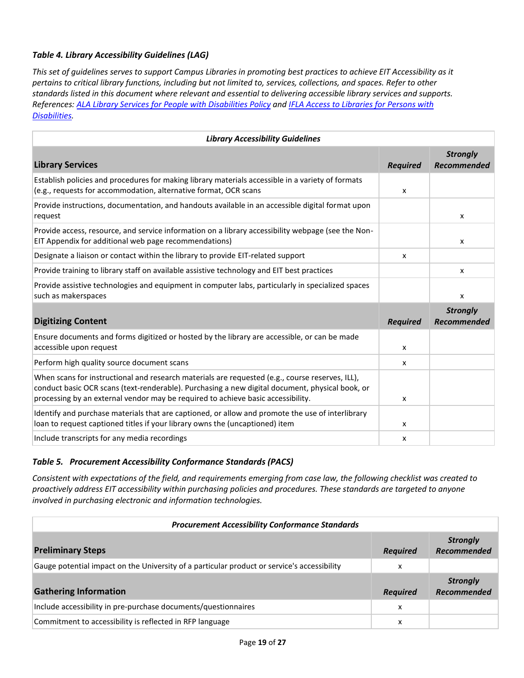## *Table 4. Library Accessibility Guidelines (LAG)*

*This set of guidelines serves to support Campus Libraries in promoting best practices to achieve EIT Accessibility as it pertains to critical library functions, including but not limited to, services, collections, and spaces. Refer to other standards listed in this document where relevant and essential to delivering accessible library services and supports. References[: ALA Library Services for People with Disabilities Policy](http://www.ala.org/asgcla/resources/libraryservices) an[d IFLA Access to Libraries for Persons with](https://archive.ifla.org/VII/s9/nd1/iflapr-89e.pdf)  [Disabilities.](https://archive.ifla.org/VII/s9/nd1/iflapr-89e.pdf)*

| <b>Library Accessibility Guidelines</b>                                                                                                                                                                                                                                                |                 |                                |
|----------------------------------------------------------------------------------------------------------------------------------------------------------------------------------------------------------------------------------------------------------------------------------------|-----------------|--------------------------------|
| <b>Library Services</b>                                                                                                                                                                                                                                                                | <b>Required</b> | <b>Strongly</b><br>Recommended |
| Establish policies and procedures for making library materials accessible in a variety of formats<br>(e.g., requests for accommodation, alternative format, OCR scans                                                                                                                  | x               |                                |
| Provide instructions, documentation, and handouts available in an accessible digital format upon<br>request                                                                                                                                                                            |                 | $\mathsf{x}$                   |
| Provide access, resource, and service information on a library accessibility webpage (see the Non-<br>EIT Appendix for additional web page recommendations)                                                                                                                            |                 | X                              |
| Designate a liaison or contact within the library to provide EIT-related support                                                                                                                                                                                                       | x               |                                |
| Provide training to library staff on available assistive technology and EIT best practices                                                                                                                                                                                             |                 | $\boldsymbol{\mathsf{x}}$      |
| Provide assistive technologies and equipment in computer labs, particularly in specialized spaces<br>such as makerspaces                                                                                                                                                               |                 | $\boldsymbol{\mathsf{x}}$      |
| <b>Digitizing Content</b>                                                                                                                                                                                                                                                              | <b>Required</b> | <b>Strongly</b><br>Recommended |
| Ensure documents and forms digitized or hosted by the library are accessible, or can be made<br>accessible upon request                                                                                                                                                                | x               |                                |
| Perform high quality source document scans                                                                                                                                                                                                                                             | x               |                                |
| When scans for instructional and research materials are requested (e.g., course reserves, ILL),<br>conduct basic OCR scans (text-renderable). Purchasing a new digital document, physical book, or<br>processing by an external vendor may be required to achieve basic accessibility. | x               |                                |
| Identify and purchase materials that are captioned, or allow and promote the use of interlibrary<br>loan to request captioned titles if your library owns the (uncaptioned) item                                                                                                       | x               |                                |
| Include transcripts for any media recordings                                                                                                                                                                                                                                           | x               |                                |

#### *Table 5. Procurement Accessibility Conformance Standards (PACS)*

*Consistent with expectations of the field, and requirements emerging from case law, the following checklist was created to proactively address EIT accessibility within purchasing policies and procedures. These standards are targeted to anyone involved in purchasing electronic and information technologies.*

| <b>Procurement Accessibility Conformance Standards</b>                                      |                 |                                       |
|---------------------------------------------------------------------------------------------|-----------------|---------------------------------------|
| <b>Preliminary Steps</b>                                                                    | <b>Required</b> | <b>Strongly</b><br><b>Recommended</b> |
| Gauge potential impact on the University of a particular product or service's accessibility | x               |                                       |
| <b>Gathering Information</b>                                                                | <b>Required</b> | <b>Strongly</b><br><b>Recommended</b> |
| Include accessibility in pre-purchase documents/questionnaires                              | x               |                                       |
| Commitment to accessibility is reflected in RFP language                                    | x               |                                       |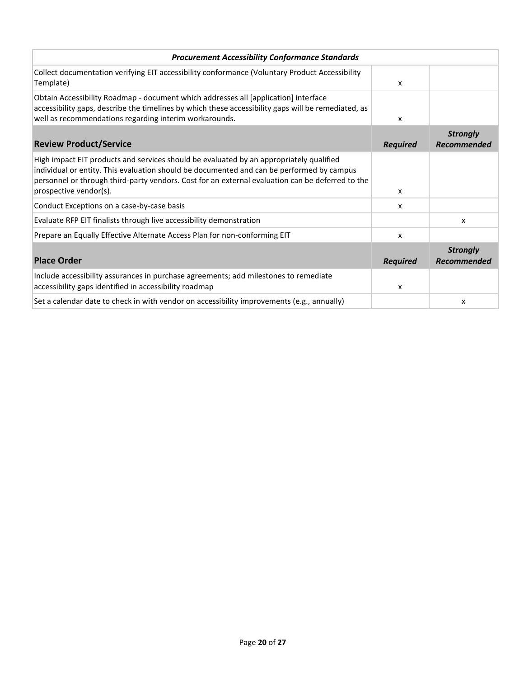| <b>Procurement Accessibility Conformance Standards</b>                                                                                                                                                                                                                                                             |                   |                                       |
|--------------------------------------------------------------------------------------------------------------------------------------------------------------------------------------------------------------------------------------------------------------------------------------------------------------------|-------------------|---------------------------------------|
| Collect documentation verifying EIT accessibility conformance (Voluntary Product Accessibility<br>Template)                                                                                                                                                                                                        | X                 |                                       |
| Obtain Accessibility Roadmap - document which addresses all [application] interface<br>accessibility gaps, describe the timelines by which these accessibility gaps will be remediated, as<br>well as recommendations regarding interim workarounds.                                                               | X                 |                                       |
| <b>Review Product/Service</b>                                                                                                                                                                                                                                                                                      | <b>Required</b>   | <b>Strongly</b><br><b>Recommended</b> |
| High impact EIT products and services should be evaluated by an appropriately qualified<br>individual or entity. This evaluation should be documented and can be performed by campus<br>personnel or through third-party vendors. Cost for an external evaluation can be deferred to the<br>prospective vendor(s). |                   |                                       |
| Conduct Exceptions on a case-by-case basis                                                                                                                                                                                                                                                                         | $\mathsf{x}$<br>x |                                       |
| Evaluate RFP EIT finalists through live accessibility demonstration                                                                                                                                                                                                                                                |                   | x                                     |
| Prepare an Equally Effective Alternate Access Plan for non-conforming EIT                                                                                                                                                                                                                                          | $\mathsf{x}$      |                                       |
| <b>Place Order</b>                                                                                                                                                                                                                                                                                                 | <b>Required</b>   | <b>Strongly</b><br>Recommended        |
| Include accessibility assurances in purchase agreements; add milestones to remediate<br>accessibility gaps identified in accessibility roadmap                                                                                                                                                                     | X                 |                                       |
| Set a calendar date to check in with vendor on accessibility improvements (e.g., annually)                                                                                                                                                                                                                         |                   | X                                     |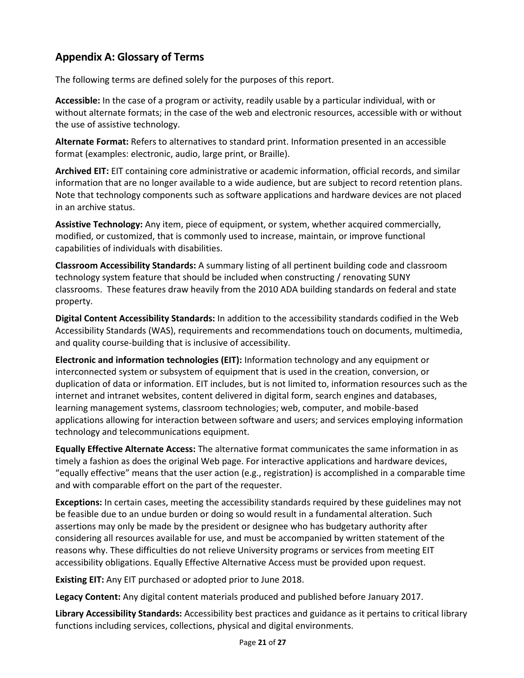# **Appendix A: Glossary of Terms**

The following terms are defined solely for the purposes of this report.

**Accessible:** In the case of a program or activity, readily usable by a particular individual, with or without alternate formats; in the case of the web and electronic resources, accessible with or without the use of assistive technology.

**Alternate Format:** Refers to alternatives to standard print. Information presented in an accessible format (examples: electronic, audio, large print, or Braille).

**Archived EIT:** EIT containing core administrative or academic information, official records, and similar information that are no longer available to a wide audience, but are subject to record retention plans. Note that technology components such as software applications and hardware devices are not placed in an archive status.

**Assistive Technology:** Any item, piece of equipment, or system, whether acquired commercially, modified, or customized, that is commonly used to increase, maintain, or improve functional capabilities of individuals with disabilities.

**Classroom Accessibility Standards:** A summary listing of all pertinent building code and classroom technology system feature that should be included when constructing / renovating SUNY classrooms. These features draw heavily from the 2010 ADA building standards on federal and state property.

**Digital Content Accessibility Standards:** In addition to the accessibility standards codified in the Web Accessibility Standards (WAS), requirements and recommendations touch on documents, multimedia, and quality course-building that is inclusive of accessibility.

**Electronic and information technologies (EIT):** Information technology and any equipment or interconnected system or subsystem of equipment that is used in the creation, conversion, or duplication of data or information. EIT includes, but is not limited to, information resources such as the internet and intranet websites, content delivered in digital form, search engines and databases, learning management systems, classroom technologies; web, computer, and mobile-based applications allowing for interaction between software and users; and services employing information technology and telecommunications equipment.

**Equally Effective Alternate Access:** The alternative format communicates the same information in as timely a fashion as does the original Web page. For interactive applications and hardware devices, "equally effective" means that the user action (e.g., registration) is accomplished in a comparable time and with comparable effort on the part of the requester.

**Exceptions:** In certain cases, meeting the accessibility standards required by these guidelines may not be feasible due to an undue burden or doing so would result in a fundamental alteration. Such assertions may only be made by the president or designee who has budgetary authority after considering all resources available for use, and must be accompanied by written statement of the reasons why. These difficulties do not relieve University programs or services from meeting EIT accessibility obligations. Equally Effective Alternative Access must be provided upon request.

**Existing EIT:** Any EIT purchased or adopted prior to June 2018.

**Legacy Content:** Any digital content materials produced and published before January 2017.

**Library Accessibility Standards:** Accessibility best practices and guidance as it pertains to critical library functions including services, collections, physical and digital environments.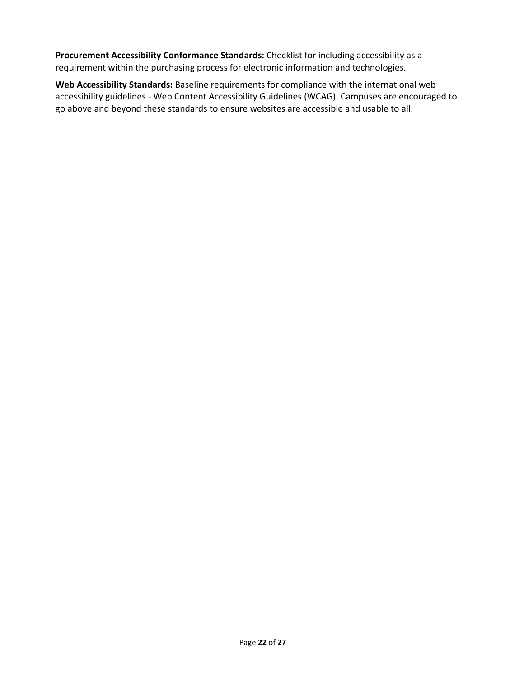**Procurement Accessibility Conformance Standards:** Checklist for including accessibility as a requirement within the purchasing process for electronic information and technologies.

**Web Accessibility Standards:** Baseline requirements for compliance with the international web accessibility guidelines - Web Content Accessibility Guidelines (WCAG). Campuses are encouraged to go above and beyond these standards to ensure websites are accessible and usable to all.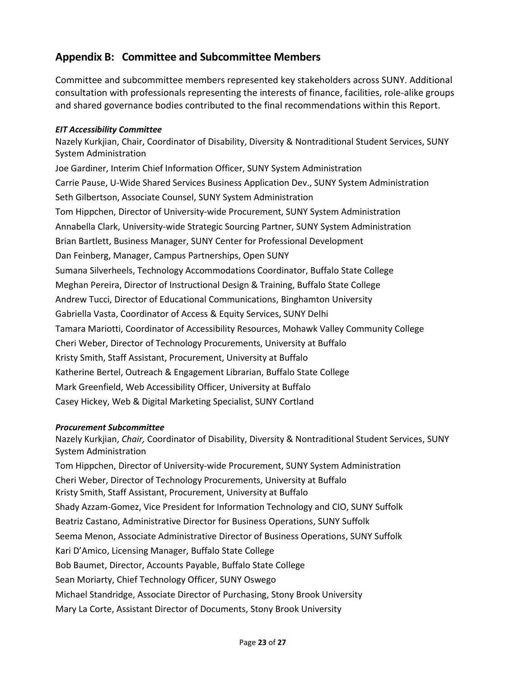# **Appendix B: Committee and Subcommittee Members**

Committee and subcommittee members represented key stakeholders across SUNY. Additional consultation with professionals representing the interests of finance, facilities, role-alike groups and shared governance bodies contributed to the final recommendations within this Report.

#### *EIT Accessibility Committee*

Nazely Kurkjian, Chair, Coordinator of Disability, Diversity & Nontraditional Student Services, SUNY System Administration

Joe Gardiner, Interim Chief Information Officer, SUNY System Administration Carrie Pause, U-Wide Shared Services Business Application Dev., SUNY System Administration Seth Gilbertson, Associate Counsel, SUNY System Administration Tom Hippchen, Director of University-wide Procurement, SUNY System Administration Annabella Clark, University-wide Strategic Sourcing Partner, SUNY System Administration Brian Bartlett, Business Manager, SUNY Center for Professional Development Dan Feinberg, Manager, Campus Partnerships, Open SUNY Sumana Silverheels, Technology Accommodations Coordinator, Buffalo State College Meghan Pereira, Director of Instructional Design & Training, Buffalo State College Andrew Tucci, Director of Educational Communications, Binghamton University Gabriella Vasta, Coordinator of Access & Equity Services, SUNY Delhi Tamara Mariotti, Coordinator of Accessibility Resources, Mohawk Valley Community College Cheri Weber, Director of Technology Procurements, University at Buffalo Kristy Smith, Staff Assistant, Procurement, University at Buffalo Katherine Bertel, Outreach & Engagement Librarian, Buffalo State College Mark Greenfield, Web Accessibility Officer, University at Buffalo Casey Hickey, Web & Digital Marketing Specialist, SUNY Cortland

#### *Procurement Subcommittee*

Nazely Kurkjian, *Chair,* Coordinator of Disability, Diversity & Nontraditional Student Services, SUNY System Administration Tom Hippchen, Director of University-wide Procurement, SUNY System Administration Cheri Weber, Director of Technology Procurements, University at Buffalo Kristy Smith, Staff Assistant, Procurement, University at Buffalo Shady Azzam-Gomez, Vice President for Information Technology and CIO, SUNY Suffolk Beatriz Castano, Administrative Director for Business Operations, SUNY Suffolk Seema Menon, Associate Administrative Director of Business Operations, SUNY Suffolk Kari D'Amico, Licensing Manager, Buffalo State College Bob Baumet, Director, Accounts Payable, Buffalo State College Sean Moriarty, Chief Technology Officer, SUNY Oswego Michael Standridge, Associate Director of Purchasing, Stony Brook University Mary La Corte, Assistant Director of Documents, Stony Brook University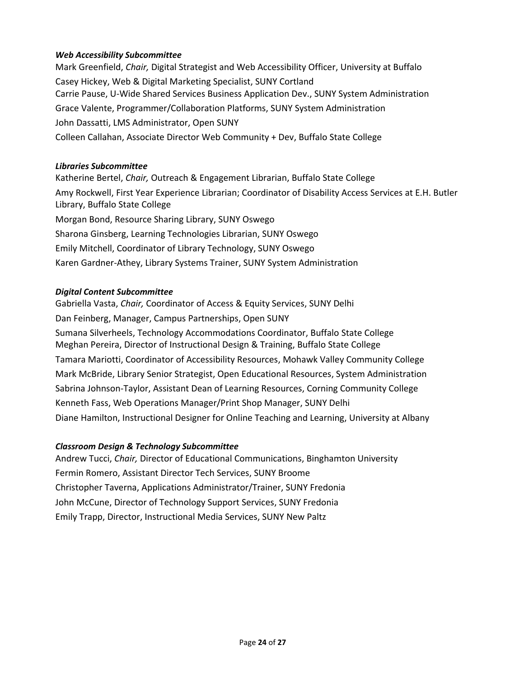## *Web Accessibility Subcommittee*

Mark Greenfield, *Chair,* Digital Strategist and Web Accessibility Officer, University at Buffalo Casey Hickey, Web & Digital Marketing Specialist, SUNY Cortland Carrie Pause, U-Wide Shared Services Business Application Dev., SUNY System Administration Grace Valente, Programmer/Collaboration Platforms, SUNY System Administration John Dassatti, LMS Administrator, Open SUNY Colleen Callahan, Associate Director Web Community + Dev, Buffalo State College

#### *Libraries Subcommittee*

Katherine Bertel, *Chair,* Outreach & Engagement Librarian, Buffalo State College Amy Rockwell, First Year Experience Librarian; Coordinator of Disability Access Services at E.H. Butler Library, Buffalo State College Morgan Bond, Resource Sharing Library, SUNY Oswego Sharona Ginsberg, Learning Technologies Librarian, SUNY Oswego Emily Mitchell, Coordinator of Library Technology, SUNY Oswego Karen Gardner-Athey, Library Systems Trainer, SUNY System Administration

#### *Digital Content Subcommittee*

Gabriella Vasta, *Chair,* Coordinator of Access & Equity Services, SUNY Delhi Dan Feinberg, Manager, Campus Partnerships, Open SUNY Sumana Silverheels, Technology Accommodations Coordinator, Buffalo State College Meghan Pereira, Director of Instructional Design & Training, Buffalo State College Tamara Mariotti, Coordinator of Accessibility Resources, Mohawk Valley Community College Mark McBride, Library Senior Strategist, Open Educational Resources, System Administration Sabrina Johnson-Taylor, Assistant Dean of Learning Resources, Corning Community College Kenneth Fass, Web Operations Manager/Print Shop Manager, SUNY Delhi Diane Hamilton, Instructional Designer for Online Teaching and Learning, University at Albany

#### *Classroom Design & Technology Subcommittee*

Andrew Tucci, *Chair,* Director of Educational Communications, Binghamton University Fermin Romero, Assistant Director Tech Services, SUNY Broome Christopher Taverna, Applications Administrator/Trainer, SUNY Fredonia John McCune, Director of Technology Support Services, SUNY Fredonia Emily Trapp, Director, Instructional Media Services, SUNY New Paltz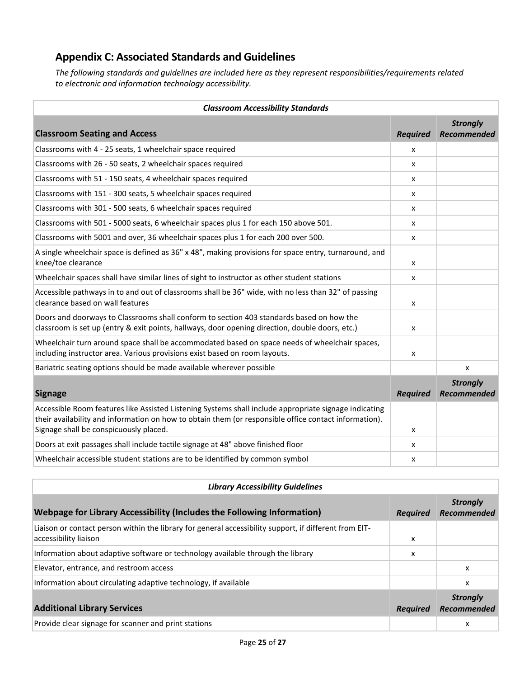# **Appendix C: Associated Standards and Guidelines**

*The following standards and guidelines are included here as they represent responsibilities/requirements related to electronic and information technology accessibility.*

| <b>Classroom Accessibility Standards</b>                                                                                                                                                                                                                 |                 |                                |
|----------------------------------------------------------------------------------------------------------------------------------------------------------------------------------------------------------------------------------------------------------|-----------------|--------------------------------|
| <b>Classroom Seating and Access</b>                                                                                                                                                                                                                      | <b>Required</b> | <b>Strongly</b><br>Recommended |
| Classrooms with 4 - 25 seats, 1 wheelchair space required                                                                                                                                                                                                | x               |                                |
| Classrooms with 26 - 50 seats, 2 wheelchair spaces required                                                                                                                                                                                              | x               |                                |
| Classrooms with 51 - 150 seats, 4 wheelchair spaces required                                                                                                                                                                                             | x               |                                |
| Classrooms with 151 - 300 seats, 5 wheelchair spaces required                                                                                                                                                                                            | x               |                                |
| Classrooms with 301 - 500 seats, 6 wheelchair spaces required                                                                                                                                                                                            | x               |                                |
| Classrooms with 501 - 5000 seats, 6 wheelchair spaces plus 1 for each 150 above 501.                                                                                                                                                                     | x               |                                |
| Classrooms with 5001 and over, 36 wheelchair spaces plus 1 for each 200 over 500.                                                                                                                                                                        | x               |                                |
| A single wheelchair space is defined as 36" x 48", making provisions for space entry, turnaround, and<br>knee/toe clearance                                                                                                                              | x               |                                |
| Wheelchair spaces shall have similar lines of sight to instructor as other student stations                                                                                                                                                              | x               |                                |
| Accessible pathways in to and out of classrooms shall be 36" wide, with no less than 32" of passing<br>clearance based on wall features                                                                                                                  | x               |                                |
| Doors and doorways to Classrooms shall conform to section 403 standards based on how the<br>classroom is set up (entry & exit points, hallways, door opening direction, double doors, etc.)                                                              | x               |                                |
| Wheelchair turn around space shall be accommodated based on space needs of wheelchair spaces,<br>including instructor area. Various provisions exist based on room layouts.                                                                              | x               |                                |
| Bariatric seating options should be made available wherever possible                                                                                                                                                                                     |                 | x                              |
| <b>Signage</b>                                                                                                                                                                                                                                           | <b>Required</b> | <b>Strongly</b><br>Recommended |
| Accessible Room features like Assisted Listening Systems shall include appropriate signage indicating<br>their availability and information on how to obtain them (or responsible office contact information).<br>Signage shall be conspicuously placed. | x               |                                |
| Doors at exit passages shall include tactile signage at 48" above finished floor                                                                                                                                                                         | x               |                                |
| Wheelchair accessible student stations are to be identified by common symbol                                                                                                                                                                             | x               |                                |

| <b>Library Accessibility Guidelines</b>                                                                                         |                 |                                |
|---------------------------------------------------------------------------------------------------------------------------------|-----------------|--------------------------------|
| Webpage for Library Accessibility (Includes the Following Information)                                                          | <b>Required</b> | <b>Strongly</b><br>Recommended |
| Liaison or contact person within the library for general accessibility support, if different from EIT-<br>accessibility liaison | x               |                                |
| Information about adaptive software or technology available through the library                                                 | x               |                                |
| Elevator, entrance, and restroom access                                                                                         |                 | $\boldsymbol{\mathsf{x}}$      |
| Information about circulating adaptive technology, if available                                                                 |                 | x                              |
| <b>Additional Library Services</b>                                                                                              | <b>Required</b> | <b>Strongly</b><br>Recommended |
| Provide clear signage for scanner and print stations                                                                            |                 | x                              |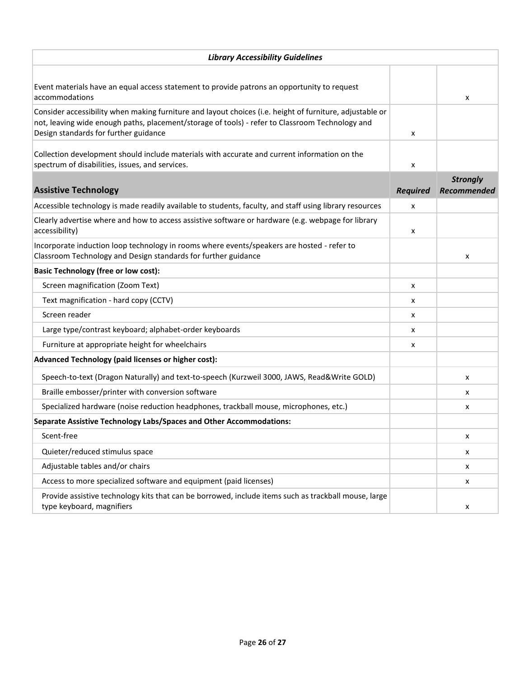| <b>Library Accessibility Guidelines</b>                                                                                                                                                                                                              |                 |                                |
|------------------------------------------------------------------------------------------------------------------------------------------------------------------------------------------------------------------------------------------------------|-----------------|--------------------------------|
|                                                                                                                                                                                                                                                      |                 |                                |
| Event materials have an equal access statement to provide patrons an opportunity to request<br>accommodations                                                                                                                                        |                 | x                              |
| Consider accessibility when making furniture and layout choices (i.e. height of furniture, adjustable or<br>not, leaving wide enough paths, placement/storage of tools) - refer to Classroom Technology and<br>Design standards for further guidance | x               |                                |
| Collection development should include materials with accurate and current information on the<br>spectrum of disabilities, issues, and services.                                                                                                      | X               |                                |
| <b>Assistive Technology</b>                                                                                                                                                                                                                          | <b>Required</b> | <b>Strongly</b><br>Recommended |
| Accessible technology is made readily available to students, faculty, and staff using library resources                                                                                                                                              | x               |                                |
| Clearly advertise where and how to access assistive software or hardware (e.g. webpage for library<br>accessibility)                                                                                                                                 | x               |                                |
| Incorporate induction loop technology in rooms where events/speakers are hosted - refer to<br>Classroom Technology and Design standards for further guidance                                                                                         |                 | x                              |
| <b>Basic Technology (free or low cost):</b>                                                                                                                                                                                                          |                 |                                |
| Screen magnification (Zoom Text)                                                                                                                                                                                                                     | x               |                                |
| Text magnification - hard copy (CCTV)                                                                                                                                                                                                                | x               |                                |
| Screen reader                                                                                                                                                                                                                                        | x               |                                |
| Large type/contrast keyboard; alphabet-order keyboards                                                                                                                                                                                               | x               |                                |
| Furniture at appropriate height for wheelchairs                                                                                                                                                                                                      | x               |                                |
| Advanced Technology (paid licenses or higher cost):                                                                                                                                                                                                  |                 |                                |
| Speech-to-text (Dragon Naturally) and text-to-speech (Kurzweil 3000, JAWS, Read&Write GOLD)                                                                                                                                                          |                 | x                              |
| Braille embosser/printer with conversion software                                                                                                                                                                                                    |                 | x                              |
| Specialized hardware (noise reduction headphones, trackball mouse, microphones, etc.)                                                                                                                                                                |                 | x                              |
| Separate Assistive Technology Labs/Spaces and Other Accommodations:                                                                                                                                                                                  |                 |                                |
| Scent-free                                                                                                                                                                                                                                           |                 | x                              |
| Quieter/reduced stimulus space                                                                                                                                                                                                                       |                 | x                              |
| Adjustable tables and/or chairs                                                                                                                                                                                                                      |                 | x                              |
| Access to more specialized software and equipment (paid licenses)                                                                                                                                                                                    |                 | x                              |
| Provide assistive technology kits that can be borrowed, include items such as trackball mouse, large<br>type keyboard, magnifiers                                                                                                                    |                 | x                              |